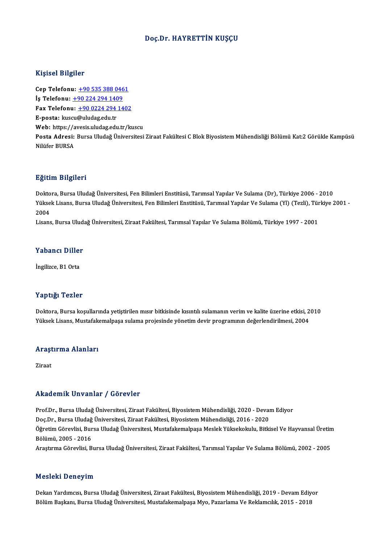#### Doç.Dr.HAYRETTİN KUŞÇU

#### Kişisel Bilgiler

Cep Telefonu: +90 535 388 0461 11191001 21191101<br>Cep Telefonu: <u>+90 535 388 046</u><br>İş Telefonu: <u>+90 224 294 1409</u><br>Fax Telefonu: +90 0224 294 14 Fax Telefonu:  $\pm 9002242941402$ <br>E-posta: kuscu@uludag.edu.tr İş Telefonu: <u>+90 224 294 140</u><br>Fax Telefonu: <u>+90 0224 294</u><br>E-posta: kus[cu](tel:+90 224 294 1409)[@uludag.edu.tr](tel:+90 0224 294 1402)<br>Web: https://avesis.uludag.edu.tr Web: https://avesis.uludag.edu.tr/kuscu E-posta: kuscu@uludag.edu.tr<br>Web: https://avesis.uludag.edu.tr/kuscu<br>Posta Adresi: Bursa Uludağ Üniversitesi Ziraat Fakültesi C Blok Biyosistem Mühendisliği Bölümü Kat:2 Görükle Kampüsü Web: https://a<br>Posta Adresi:<br>Nilüfer BURSA

#### Eğitim Bilgileri

<mark>Eğitim Bilgileri</mark><br>Doktora, Bursa Uludağ Üniversitesi, Fen Bilimleri Enstitüsü, Tarımsal Yapılar Ve Sulama (Dr), Türkiye 2006 - 2010<br>Yükaek Lisana Bursa Uludağ Üniversitesi, Fen Bilimleri Enstitüsü, Tarımsal Yapılar Ve Sul 25.0000 Zagaseaa<br>Doktora, Bursa Uludağ Üniversitesi, Fen Bilimleri Enstitüsü, Tarımsal Yapılar Ve Sulama (Dr), Türkiye 2006 - 2010<br>Yüksek Lisans, Bursa Uludağ Üniversitesi, Fen Bilimleri Enstitüsü, Tarımsal Yapılar Ve Sula Dokto<br>Yükse<br>2004<br>Lisare Yüksek Lisans, Bursa Uludağ Üniversitesi, Fen Bilimleri Enstitüsü, Tarımsal Yapılar Ve Sulama (Yl) (Tezli), Türkiye 2001 -<br>2004<br>Lisans, Bursa Uludağ Üniversitesi, Ziraat Fakültesi, Tarımsal Yapılar Ve Sulama Bölümü, Türkiy

# Lisans, Bursa Oluda<br>Yabancı Diller Y<mark>abancı Diller</mark><br>İngilizce, B1 Orta

# İngilizce, B1 Orta<br>Yaptığı Tezler

Doktora, Bursa koşullarında yetiştirilen mısır bitkisinde kısıntılı sulamanın verim ve kalite üzerine etkisi, 2010 YüksekLisans,Mustafakemalpaşa sulama projesinde yönetimdevir programınındeğerlendirilmesi,2004

# ruksek Lisans, mustarakı<br>Araştırma Alanları <mark>Arașt</mark><br>Ziraat

# Akademik Unvanlar / Görevler

Akademik Unvanlar / Görevler<br>Prof.Dr., Bursa Uludağ Üniversitesi, Ziraat Fakültesi, Biyosistem Mühendisliği, 2020 - Devam Ediyor<br>Des Dr., Bursa Uludağ Üniversitesi, Ziraat Fakültesi, Biyosistem Mühendisliği, 2016 - 2020 rrittat onrik "On varitar" / "d'or ovror"<br>Prof.Dr., Bursa Uludağ Üniversitesi, Ziraat Fakültesi, Biyosistem Mühendisliği, 2020 - Devai<br>Doç.Dr., Bursa Uludağ Üniversitesi, Ziraat Fakültesi, Biyosistem Mühendisliği, 2016 - 2 Öğretim Görevlisi, Bursa Uludağ Üniversitesi, Mustafakemalpaşa Meslek Yüksekokulu, Bitkisel Ve Hayvansal Üretim<br>Bölümü, 2005 - 2016 Doç.Dr., Bursa Uludağ Üniversitesi, Ziraat Fakültesi, Biyosistem Mühendisliği, 2016 - 2020 Araştırma Görevlisi, Bursa Uludağ Üniversitesi, Ziraat Fakültesi, Tarımsal Yapılar Ve Sulama Bölümü, 2002 - 2005

#### Mesleki Deneyim

Dekan Yardımcısı, Bursa Uludağ Üniversitesi, Ziraat Fakültesi, Biyosistem Mühendisliği, 2019 - Devam Ediyor Bölüm Başkanı, Bursa Uludağ Üniversitesi, Mustafakemalpaşa Myo, Pazarlama Ve Reklamcılık, 2015 - 2018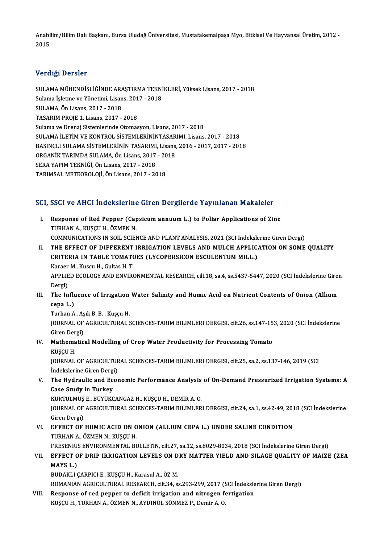Anabilim/Bilim Dalı Başkanı, Bursa Uludağ Üniversitesi, Mustafakemalpaşa Myo, Bitkisel Ve Hayvansal Üretim, 2012 -<br>2015 Anabi<br>2015

# 2015<br>Verdiği Dersler

Verdiği Dersler<br>SULAMA MÜHENDİSLİĞİNDE ARAŞTIRMA TEKNİKLERİ, Yüksek Lisans, 2017 - 2018<br>Sulama İslatma ve Yönetimi Lisans, 2017 - 2018 VOLAMA MÜHENDİSLİĞİNDE ARAŞTIRMA TEKNİ<br>Sulama İşletme ve Yönetimi, Lisans, 2017 - 2018<br>SULAMA Ön Lisans, 2017 - 2019 SULAMA MÜHENDİSLİĞİNDE ARA<br>Sulama İşletme ve Yönetimi, Lisan<br>SULAMA, Ön Lisans, 2017 - 2018<br>TASARIM PROJE 1, Lisans, 2017 Sulama İşletme ve Yönetimi, Lisans, 2017 - 2018<br>SULAMA, Ön Lisans, 2017 - 2018<br>TASARIM PROJE 1, Lisans, 2017 - 2018 Sulama ve Drenaj Sistemlerinde Otomasyon, Lisans, 2017 - 2018 SULAMA İLETİM VE KONTROL SİSTEMLERİNİNTASARIMI, Lisans, 2017 - 2018 Sulama ve Drenaj Sistemlerinde Otomasyon, Lisans, 2017 - 2018<br>SULAMA İLETİM VE KONTROL SİSTEMLERİNİNTASARIMI, Lisans, 2017 - 2018<br>BASINÇLI SULAMA SİSTEMLERİNİN TASARIMI, Lisans, 2016 - 2017, 2017 - 2018<br>OPCANİK TARIMDA SUL SULAMA İLETİM VE KONTROL SİSTEMLERİNİNTASAR<br>BASINÇLI SULAMA SİSTEMLERİNİN TASARIMI, Lisans,<br>ORGANİK TARIMDA SULAMA, Ön Lisans, 2017 - 2018<br>SERA YARIM TEKNİĞİ, Ön Lisans, 2017 - 2018 BASINÇLI SULAMA SİSTEMLERİNİN TASARIMI<br>ORGANİK TARIMDA SULAMA, Ön Lisans, 2017<br>SERA YAPIM TEKNİĞİ, Ön Lisans, 2017 - 2018<br>TARIMSAL METEOROLOU, Ön Lisans, 2017 - 20 ORGANİK TARIMDA SULAMA, Ön Lisans, 2017 - 2018<br>SERA YAPIM TEKNİĞİ, Ön Lisans, 2017 - 2018<br>TARIMSAL METEOROLOJİ, Ön Lisans, 2017 - 2018

#### SCI, SSCI ve AHCI İndekslerine Giren Dergilerde Yayınlanan Makaleler

CI, SSCI ve AHCI İndekslerine Giren Dergilerde Yayınlanan Makaleler<br>I. Response of Red Pepper (Capsicum annuum L.) to Foliar Applications of Zinc<br>TIPHAN A. KUSCU H. ÖZMEN N TURHAN<br>TURHAN A., KUŞÇU H., ÖZMEN N.<br>COMMUNICATIONS IN SOU, SCIEN TURHAN A., KUŞÇU H., ÖZMEN N.<br>COMMUNICATIONS IN SOIL SCIENCE AND PLANT ANALYSIS, 2021 (SCI İndekslerine Giren Dergi)

TURHAN A., KUŞÇU H., ÖZMEN N.<br>COMMUNICATIONS IN SOIL SCIENCE AND PLANT ANALYSIS, 2021 (SCI İndekslerine Giren Dergi)<br>II. THE EFFECT OF DIFFERENT IRRIGATION LEVELS AND MULCH APPLICATION ON SOME QUALITY<br>CRITERIA IN TARI E TO COMMUNICATIONS IN SOIL SCIENCE AND PLANT ANALYSIS, 2021 (SCI İndeksle<br>THE EFFECT OF DIFFERENT IRRIGATION LEVELS AND MULCH APPLIC.<br>CRITERIA IN TABLE TOMATOES (LYCOPERSICON ESCULENTUM MILL.)<br>Karası M. Kusau H. Cultas H. T. THE EFFECT OF DIFFERENT<br>CRITERIA IN TABLE TOMATO<br>Karaer M., Kuscu H., Gultas H. T.<br>APPLIED ECOLOCY AND ENVIRO CRITERIA IN TABLE TOMATOES (LYCOPERSICON ESCULENTUM MILL.)<br>Karaer M., Kuscu H., Gultas H. T.<br>APPLIED ECOLOGY AND ENVIRONMENTAL RESEARCH, cilt.18, sa.4, ss.5437-5447, 2020 (SCI İndekslerine Giren<br>Persi) Karaer<br>APPLIE<br>Dergi)<br>The In

APPLIED ECOLOGY AND ENVIRONMENTAL RESEARCH, cilt.18, sa.4, ss.5437-5447, 2020 (SCI İndekslerine Giren<br>Dergi)<br>III. The Influence of Irrigation Water Salinity and Humic Acid on Nutrient Contents of Onion (Allium Dergi)<br>The Influ<br>cepa L.)<br>Turban A

The Influence of Irrigation<br>cepa L.)<br>Turhan A., Aşık B. B. , Kuşçu H.<br>JOUPMAL OE ACRICULTIPAL S **cepa L.)**<br>Turhan A., Aşık B. B. , Kuşçu H.<br>JOURNAL OF AGRICULTURAL SCIENCES-TARIM BILIMLERI DERGISI, cilt.26, ss.147-153, 2020 (SCI İndekslerine<br>Giren Dergi) Turhan A., Asık B. B., Kuscu H. JOURNAL OF AGRICULTURAL SCIENCES-TARIM BILIMLERI DERGISI, cilt.26, ss.147-15<br>Giren Dergi)<br>IV. Mathematical Modelling of Crop Water Productivity for Processing Tomato Giren Der<br><mark>Mathema</mark><br>KUŞÇU H.<br>IOUPNAL

KUŞÇU H.<br>JOURNAL OF AGRICULTURAL SCIENCES-TARIM BILIMLERI DERGISI, cilt.25, sa.2, ss.137-146, 2019 (SCI İndekslerine Giren Dergi) JOURNAL OF AGRICULTURAL SCIENCES-TARIM BILIMLERI DERGISI, cilt.25, sa.2, ss.137-146, 2019 (SCI<br>Indekslerine Giren Dergi)<br>V. The Hydraulic and Economic Performance Analysis of On-Demand Pressurized Irrigation Systems: A<br>Cas

Indekslerine Giren Dergi<br>The Hydraulic and Ecc<br>Case Study in Turkey<br>KURTULMUS E. PUNÜKC The Hydraulic and Economic Performance Analysis<br>Case Study in Turkey<br>KURTULMUŞ E., BÜYÜKCANGAZ H., KUŞÇU H., DEMİR A. O.<br>JOUPMAL OF ACRICULTURAL SCIENCES TARIM BU IMLER

KURTULMUŞ E., BÜYÜKCANGAZ H., KUŞÇU H., DEMİR A. O.

Case Study in Turkey<br>KURTULMUŞ E., BÜYÜKCANGAZ H., KUŞÇU H., DEMİR A. O.<br>JOURNAL OF AGRICULTURAL SCIENCES-TARIM BILIMLERI DERGISI, cilt.24, sa.1, ss.42-49, 2018 (SCI İndekslerine<br>Giren Dergi) JOURNAL OF AGRICULTURAL SCIENCES-TARIM BILIMLERI DERGISI, cilt.24, sa.1, ss.42-49, 201<br>Giren Dergi)<br>VI. EFFECT OF HUMIC ACID ON ONION (ALLIUM CEPA L.) UNDER SALINE CONDITION<br>TUBHAN A. ÖZMEN N. KUSCU H

### Giren Dergi)<br><mark>EFFECT OF HUMIC ACID ON 0</mark><br>TURHAN A., ÖZMEN N., KUŞÇU H.<br>EPESENIJIS ENVIRONMENTAL PI EFFECT OF HUMIC ACID ON ONION (ALLIUM CEPA L.) UNDER SALINE CONDITION<br>TURHAN A., ÖZMEN N., KUŞÇU H.<br>FRESENIUS ENVIRONMENTAL BULLETIN, cilt.27, sa.12, ss.8029-8034, 2018 (SCI İndekslerine Giren Dergi)<br>FEFECT OF DRIR IRRICAT

### TURHAN A., ÖZMEN N., KUŞÇU H.<br>FRESENIUS ENVIRONMENTAL BULLETIN, cilt.27, sa.12, ss.8029-8034, 2018 (SCI İndekslerine Giren Dergi)<br>VII. EFFECT OF DRIP IRRIGATION LEVELS ON DRY MATTER YIELD AND SILAGE QUALITY OF MAIZE FRESENIU:<br><mark>EFFECT 0</mark><br>MAYS L.)<br>PUDAKLL EFFECT OF DRIP IRRIGATION LEVELS ON D<br>MAYS L.)<br>BUDAKLI ÇARPICI E., KUŞÇU H., Karasul A., ÖZ M.<br>BOMANIAN ACRICII TURAL RESEARCH sil: 24. S MAYS L.)<br>BUDAKLI ÇARPICI E., KUŞÇU H., Karasul A., ÖZ M.<br>ROMANIAN AGRICULTURAL RESEARCH, cilt.34, ss.293-299, 2017 (SCI İndekslerine Giren Dergi)

VIII. Response of red pepper to deficit irrigation and nitrogen fertigation KUŞÇU H., TURHAN A., ÖZMEN N., AYDINOL SÖNMEZ P., Demir A. O.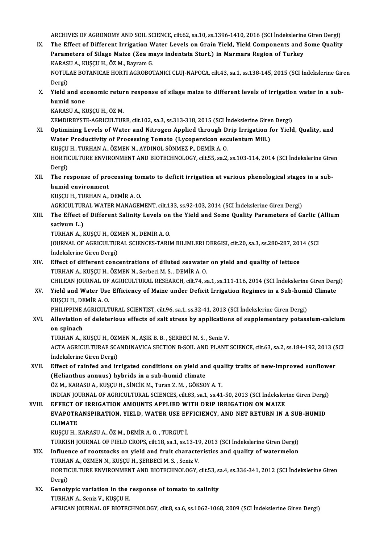ARCHIVES OF AGRONOMY AND SOIL SCIENCE, cilt.62, sa.10, ss.1396-1410, 2016 (SCI İndekslerine Giren Dergi)<br>The Effect of Different Invigation Water Levels on Crain Vield, Vield Components and Some Quality

IX. The Effect of Different Irrigation Water Levels on Grain Yield, Yield Components and Some Quality<br>Parameters of Silage Maize (Zea mays indentata Sturt.) in Marmara Region of Turkey ARCHIVES OF AGRONOMY AND SOIL SCIENCE, cilt.62, sa.10, ss.1396-1410, 2016 (SCI İndekslerine<br>The Effect of Different Irrigation Water Levels on Grain Yield, Yield Components and :<br>Parameters of Silage Maize (Zea mays indent The Effect of Different Irrigation W<br>Parameters of Silage Maize (Zea m:<br>KARASU A., KUŞÇU H., ÖZ M., Bayram G.<br>NOTULAE POTANICAE HOPTLACPOPOT

NOTULAE BOTANICAE HORTI AGROBOTANICI CLUJ-NAPOCA, cilt.43, sa.1, ss.138-145, 2015 (SCI İndekslerine Giren<br>Dergi) KARAS<br>NOTUL<br>Dergi)<br>Vield NOTULAE BOTANICAE HORTI AGROBOTANICI CLUJ-NAPOCA, cilt43, sa.1, ss.138-145, 2015 (SCI İndekslerine Gir<br>Dergi)<br>X. Yield and economic return response of silage maize to different levels of irrigation water in a sub-<br>humid zo

Dergi)<br>Yield and ec<br>humid zone<br>KARASUA KI Yield and economic retur<br>humid zone<br>KARASU A., KUŞÇU H., ÖZ M.<br>ZEMDIPPYSTE ACPICULTUE

humid zone<br>KARASU A., KUŞÇU H., ÖZ M.<br>ZEMDIRBYSTE-AGRICULTURE, cilt.102, sa.3, ss.313-318, 2015 (SCI İndekslerine Giren Dergi)

- KARASU A., KUŞÇU H., ÖZ M.<br>ZEMDIRBYSTE-AGRICULTURE, cilt.102, sa.3, ss.313-318, 2015 (SCI İndekslerine Giren Dergi)<br>XI. Optimizing Levels of Water and Nitrogen Applied through Drip Irrigation for Yield, Quality, and<br>Water ZEMDIRBYSTE-AGRICULTURE, cilt.102, sa.3, ss.313-318, 2015 (SCI İndekslerine Giren<br>Optimizing Levels of Water and Nitrogen Applied through Drip Irrigation f<br>Water Productivity of Processing Tomato (Lycopersicon esculentum M Optimizing Levels of Water and Nitrogen Applied through D<br>Water Productivity of Processing Tomato (Lycopersicon esc<br>KUŞÇU H., TURHAN A., ÖZMEN N., AYDINOL SÖNMEZ P., DEMİR A. O.<br>HOPTICULTURE ENVIRONMENT AND BIOTECHNOLOCY s Water Productivity of Processing Tomato (Lycopersicon esculentum Mill.)<br>KUŞÇU H., TURHAN A., ÖZMEN N., AYDINOL SÖNMEZ P., DEMİR A. O.<br>HORTICULTURE ENVIRONMENT AND BIOTECHNOLOGY, cilt.55, sa.2, ss.103-114, 2014 (SCI İndeksl KUŞÇU<br>HORTI(<br>Dergi)<br>The re HORTICULTURE ENVIRONMENT AND BIOTECHNOLOGY, cilt.55, sa.2, ss.103-114, 2014 (SCI İndekslerine Gire<br>Dergi)<br>XII. The response of processing tomato to deficit irrigation at various phenological stages in a sub-<br>humid anvineme
- Dergi)<br>The response of pro<br>humid environment<br><sup>VIICCU U</sub> TUDHANA</sup> The response of processing to<br>humid environment<br>KUŞÇU H., TURHAN A., DEMİR A. O.<br>ACRICII TURAL WATER MANACEA humid environment<br>KUŞÇU H., TURHAN A., DEMİR A. O.<br>AGRICULTURAL WATER MANAGEMENT, cilt.133, ss.92-103, 2014 (SCI İndekslerine Giren Dergi)

KUŞÇU H., TURHAN A., DEMİR A. O.<br>AGRICULTURAL WATER MANAGEMENT, cilt.133, ss.92-103, 2014 (SCI İndekslerine Giren Dergi)<br>XIII. The Effect of Different Salinity Levels on the Yield and Some Quality Parameters of Garlic AGRICULTUR<br>The Effect o<br>sativum L.)<br>TUPHAN A. L The Effect of Different Salinity Levels on<br>sativum L.)<br>TURHAN A., KUŞÇU H., ÖZMEN N., DEMİR A. O.<br>JOUPNAL OF ACRICULTURAL SCIENCES TARIL

sativum L.)<br>TURHAN A., KUŞÇU H., ÖZMEN N., DEMİR A. O.<br>JOURNAL OF AGRICULTURAL SCIENCES-TARIM BILIMLERI DERGISI, cilt.20, sa.3, ss.280-287, 2014 (SCI<br>İndekslerine Ciren Dergi) TURHAN A., KUŞÇU H., ÖZI<br>JOURNAL OF AGRICULTUF<br>İndekslerine Giren Dergi)<br>Fffest of different sone JOURNAL OF AGRICULTURAL SCIENCES-TARIM BILIMLERI DERGISI, cilt.20, sa.3, ss.280-287, 201<br>
indekslerine Giren Dergi)<br>XIV. Effect of different concentrations of diluted seawater on yield and quality of lettuce<br>
TUBLAN A KUSC

İndekslerine Giren Dergi)<br>Effect of different concentrations of diluted seawater<br>TURHAN A., KUŞÇU H., ÖZMEN N., Serbeci M. S. , DEMİR A. O.<br>CHU FAN JOUPNAL OF ACRICULTURAL RESEARCH silt 74 se Effect of different concentrations of diluted seawater on yield and quality of lettuce<br>TURHAN A., KUŞÇU H., ÖZMEN N., Serbeci M. S. , DEMİR A. O.<br>CHILEAN JOURNAL OF AGRICULTURAL RESEARCH, cilt.74, sa.1, ss.111-116, 2014 (S

TURHAN A., KUŞÇU H., ÖZMEN N., Serbeci M. S. , DEMİR A. O.<br>CHILEAN JOURNAL OF AGRICULTURAL RESEARCH, cilt.74, sa.1, ss.111-116, 2014 (SCI İndekslerine Giren Derg<br>XV. Yield and Water Use Efficiency of Maize under Deficit Ir CHILEAN JOURNAL OF<br>Yield and Water Use<br>KUŞÇU H., DEMİR A. O.<br>PHILIPPINE ACPICULT Yield and Water Use Efficiency of Maize under Deficit Irrigation Regimes in a Sub-humi<br>KUŞÇU H., DEMİR A. O.<br>PHILIPPINE AGRICULTURAL SCIENTIST, cilt.96, sa.1, ss.32-41, 2013 (SCI İndekslerine Giren Dergi)<br>Alleviation of de

PHILIPPINE AGRICULTURAL SCIENTIST, cilt.96, sa.1, ss.32-41, 2013 (SCI İndekslerine Giren Dergi)

KUŞÇU H., DEMİR A. O.<br>PHILIPPINE AGRICULTURAL SCIENTIST, cilt.96, sa.1, ss.32-41, 2013 (SCI İndekslerine Giren Dergi)<br>XVI. Alleviation of deleterious effects of salt stress by applications of supplementary potassium-ca Alleviation of deleterious effects of salt stress by application<br>on spinach<br>TURHAN A., KUŞÇU H., ÖZMEN N., AŞIK B. B. , ŞERBECİ M. S. , Seniz V.<br>ACTA ACRICULTURAE SCANDINAVICA SECTION B. SOU, AND BLANT.

ACTA AGRICULTURAE SCANDINAVICA SECTION B-SOIL AND PLANT SCIENCE, cilt.63, sa.2, ss.184-192, 2013 (SCI Indekslerine Giren Dergi) TURHAN A., KUŞÇU H., ÖZI<br>ACTA AGRICULTURAE SCA<br>İndekslerine Giren Dergi)<br>Effect of rainfed and in ACTA AGRICULTURAE SCANDINAVICA SECTION B-SOIL AND PLANT SCIENCE, cilt.63, sa.2, ss.184-192, 2013 (Starting Conditions)<br>XVII. Effect of rainfed and irrigated conditions on yield and quality traits of new-improved sunflower<br>

(indekslerine Giren Dergi)<br>Effect of rainfed and irrigated conditions on yield an<br>(Helianthus annuus) hybrids in a sub-humid climate<br>ÖZ M. KARASUA, KUSCU H. SİNCİK M. Turan Z. M. GÖKSO (Helianthus annuus) hybrids in a sub-humid climate<br>ÖZ M., KARASU A., KUŞÇU H., SİNCİK M., Turan Z. M. , GÖKSOY A. T.

INDIANJOURNALOFAGRICULTURAL SCIENCES, cilt.83, sa.1, ss.41-50,2013 (SCI İndekslerineGirenDergi)

XVIII. EFFECT OF IRRIGATION AMOUNTS APPLIED WITH DRIP IRRIGATION ON MAIZE INDIAN JOURNAL OF AGRICULTURAL SCIENCES, cilt83, sa.1, ss.41-50, 2013 (SCI İndekslerine Giren Dergi)<br>EFFECT OF IRRIGATION AMOUNTS APPLIED WITH DRIP IRRIGATION ON MAIZE<br>EVAPOTRANSPIRATION, YIELD, WATER USE EFFICIENCY, AND N EFFECT O<br>EVAPOTR<br>CLIMATE<br>EUSCU U EVAPOTRANSPIRATION, YIELD, WATER USE EF<br>CLIMATE<br>KUŞÇU H., KARASU A., ÖZ M., DEMİR A. O. , TURGUT İ.<br>TURKISH JOURNAL OF EJELD CROPS, cilt 18, SR 1, SR 1 CLIMATE<br>KUŞÇU H., KARASU A., ÖZ M., DEMİR A. O. , TURGUT İ.<br>TURKISH JOURNAL OF FIELD CROPS, cilt.18, sa.1, ss.13-19, 2013 (SCI İndekslerine Giren Dergi)<br>Influence of nastataska en viald and fuuit sharastaristisa and qualit

- KUŞÇU H., KARASU A., ÖZ M., DEMİR A. O. , TURGUT İ.<br>TURKISH JOURNAL OF FIELD CROPS, cilt.18, sa.1, ss.13-19, 2013 (SCI İndekslerine Giren Dergi)<br>XIX. Influence of rootstocks on yield and fruit characteristics and quali TURKISH JOURNAL OF FIELD CROPS, cilt.18, sa.1, ss.13-19<br>Influence of rootstocks on yield and fruit characte<br>TURHAN A., ÖZMEN N., KUŞÇU H., ŞERBECİ M. S. , Seniz V.<br>HOPTICULTURE ENVIRONMENT AND BIOTECHNOLOCY Influence of rootstocks on yield and fruit characteristics and quality of watermelon<br>TURHAN A., ÖZMEN N., KUŞÇU H., ŞERBECİ M. S. , Seniz V.<br>HORTICULTURE ENVIRONMENT AND BIOTECHNOLOGY, cilt.53, sa.4, ss.336-341, 2012 (SCI TURHA<br>HORTI(<br>Dergi) HORTICULTURE ENVIRONMENT AND BIOTECHNOLOGY, cilt.53, s.<br>Dergi)<br>XX. Genotypic variation in the response of tomato to salinity<br>TUPHAN A SON'T V. KUSCU H
- Dergi)<br>Genotypic variation in the l<br>TURHAN A., Seniz V., KUŞÇU H.<br>AERICAN IQURNAL OF RIQTEC TURHAN A., Seniz V., KUŞÇU H.<br>AFRICAN JOURNAL OF BIOTECHNOLOGY, cilt.8, sa.6, ss.1062-1068, 2009 (SCI İndekslerine Giren Dergi)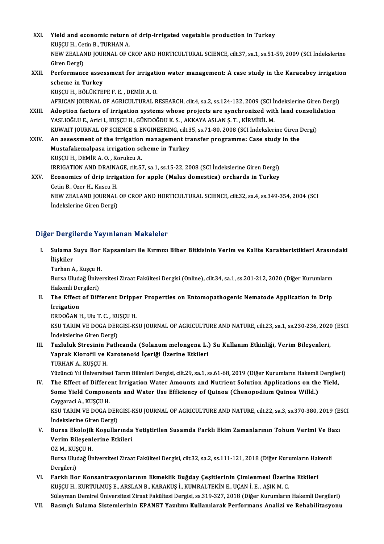XXI. Yield and economic return of drip-irrigated vegetable production in Turkey<br>KISCU H. Catin B. TURHAN A **Yield and economic return<br>KUŞÇU H., Cetin B., TURHAN A.<br>NEW ZEALAND JOURNAL OF C** Yield and economic return of drip-irrigated vegetable production in Turkey<br>KUŞÇU H., Cetin B., TURHAN A.<br>NEW ZEALAND JOURNAL OF CROP AND HORTICULTURAL SCIENCE, cilt.37, sa.1, ss.51-59, 2009 (SCI İndekslerine<br>Ciron Dergi) KUŞÇU H., Cet<br>NEW ZEALAN<br>Giren Dergi)<br>Performang NEW ZEALAND JOURNAL OF CROP AND HORTICULTURAL SCIENCE, cilt.37, sa.1, ss.51-59, 2009 (SCI İndekslerine<br>Giren Dergi)<br>XXII. Performance assessment for irrigation water management: A case study in the Karacabey irrigation<br>Sch Giren Dergi)<br>Performance asse:<br>scheme in Turkey<br>vuscu u pöttüvter Performance assessment for irrigati<br>scheme in Turkey<br>KUŞÇU H., BÖLÜKTEPE F. E. , DEMİR A. O.<br>AERICAN IQUENAL OF ACRICULTIRAL P scheme in Turkey<br>KUŞÇU H., BÖLÜKTEPE F. E. , DEMİR A. O.<br>AFRICAN JOURNAL OF AGRICULTURAL RESEARCH, cilt.4, sa.2, ss.124-132, 2009 (SCI İndekslerine Giren Dergi) KUŞÇU H., BÖLÜKTEPE F. E. , DEMİR A. O.<br>AFRICAN JOURNAL OF AGRICULTURAL RESEARCH, cilt.4, sa.2, ss.124-132, 2009 (SCI İndekslerine Giren Dergi<br>XXIII. Adoption factors of irrigation systems whose projects are synchroniz AFRICAN JOURNAL OF AGRICULTURAL RESEARCH, cilt.4, sa.2, ss.124-132, 2009 (SCI İn<br>Adoption factors of irrigation systems whose projects are synchronized wit<br>YASLIOĞLU E., Arici I., KUŞÇU H., GÜNDOĞDU K. S. , AKKAYA ASLAN Ş. Adoption factors of irrigation systems whose projects are synchronized with land consolidering and the set of the SASLIOGLU E., Arici I., KUŞÇU H., GÜNDOĞDU K. S. , AKKAYA ASLAN Ş. T. , KİRMİKİL M.<br>KUWAIT JOURNAL OF SCIENC YASLIOĞLU E., Arici I., KUŞÇU H., GÜNDOĞDU K. S. , AKKAYA ASLAN Ş. T. , KİRMİKİL M.<br>KUWAIT JOURNAL OF SCIENCE & ENGINEERING, cilt.35, ss.71-80, 2008 (SCI İndekslerine Giren I<br>XXIV. An assessment of the irrigation managemen KUWAIT JOURNAL OF SCIENCE & ENGINEERING, cilt.3<br>An assessment of the irrigation management tra<br>Mustafakemalpasa irrigation scheme in Turkey XXIV. An assessment of the irrigation management transfer programme: Case study in the Mustafakemalpasa irrigation scheme in Turkey<br>KUŞÇU H., DEMİR A. O. , Korukcu A. Mustafakemalpasa irrigation scheme in Turkey<br>KUŞÇU H., DEMİR A. O. , Korukcu A.<br>IRRIGATION AND DRAINAGE, cilt.57, sa.1, ss.15-22, 2008 (SCI İndekslerine Giren Dergi)<br>Feonomice of drin innisation for annla (Malue dameetice) KUŞÇU H., DEMİR A. O. , Korukcu A.<br>IRRIGATION AND DRAINAGE, cilt.57, sa.1, ss.15-22, 2008 (SCI İndekslerine Giren Dergi)<br>XXV. Economics of drip irrigation for apple (Malus domestica) orchards in Turkey<br>Cetin B. Ozen H. Kus **IRRIGATION AND DRAINA<br>Economics of drip irrig<br>Cetin B., Ozer H., Kuscu H.<br>NEW 7EAL AND IOUPMAL** Economics of drip irrigation for apple (Malus domestica) orchards in Turkey<br>Cetin B., Ozer H., Kuscu H.<br>NEW ZEALAND JOURNAL OF CROP AND HORTICULTURAL SCIENCE, cilt.32, sa.4, ss.349-354, 2004 (SCI<br>Indekalarine Ciren Dergi) Cetin B., Ozer H., Kuscu H.<br>NEW ZEALAND JOURNAL<br>İndekslerine Giren Dergi)

# İndekslerine Giren Dergi)<br>Diğer Dergilerde Yayınlanan Makaleler

- iğer Dergilerde Yayınlanan Makaleler<br>I. Sulama Suyu Bor Kapsamları ile Kırmızı Biber Bitkisinin Verim ve Kalite Karakteristikleri Arasındaki<br>İlişkiler r Dorge<br>Sulama<br>İlişkiler<br><sup>Turban A</sup> Sul<mark>ama Suyu Bor</mark><br>İlişkiler<br>Turhan A., Kuşçu H.<br>Bursa Hudağ Üniya
	-

İlişkiler<br>Turhan A., Kuşçu H.<br>Bursa Uludağ Üniversitesi Ziraat Fakültesi Dergisi (Online), cilt.34, sa.1, ss.201-212, 2020 (Diğer Kurumların Turhan A., Kuşçu H<br>Bursa Uludağ Ünive<br>Hakemli Dergileri)<br>The Effect of Diff Bursa Uludağ Üniversitesi Ziraat Fakültesi Dergisi (Online), cilt.34, sa.1, ss.201-212, 2020 (Diğer Kurumların<br>Hakemli Dergileri)<br>II. The Effect of Different Dripper Properties on Entomopathogenic Nematode Application

- Hakemli Dergileri)<br>The Effect of Different Drippe<br>Irrigation<br>ERDOĞAN H., Ulu T. C. , KUŞÇU H. II. The Effect of Different Dripper Properties on Entomopathogenic Nematode Application in Drip
	-

Irrigation<br>ERDOĞAN H., Ulu T. C. , KUŞÇU H.<br>KSU TARIM VE DOGA DERGISI-KSU JOURNAL OF AGRICULTURE AND NATURE, cilt.23, sa.1, ss.230-236, 2020 (ESCI ERDOĞAN H., Ulu T. C. , KU<br>KSU TARIM VE DOGA DER<br>İndekslerine Giren Dergi)<br>Turluluk Stresinin Betl KSU TARIM VE DOGA DERGISI-KSU JOURNAL OF AGRICULTURE AND NATURE, cilt.23, sa.1, ss.230-236, 2020<br>Indekslerine Giren Dergi)<br>III. Tuzluluk Stresinin Patlıcanda (Solanum melongena L.) Su Kullanım Etkinliği, Verim Bileşenleri,

İndekslerine Giren Dergi)<br>Tuzluluk Stresinin Patlıcanda (Solanum melongena L.)<br>Yaprak Klorofil ve Karotenoid İçeriği Üzerine Etkileri<br>TURHAN A KUSCU H Tuzluluk Stresinin F<br>Yaprak Klorofil ve I<br>TURHAN A., KUŞÇU H.<br><sup>Vüzüncü Vu Üniversite</sup> TURHAN A., KUŞÇU H.<br>Yüzüncü Yıl Üniversitesi Tarım Bilimleri Dergisi, cilt.29, sa.1, ss.61-68, 2019 (Diğer Kurumların Hakemli Dergileri)

IV. The Effect of Different Irrigation Water Amounts and Nutrient Solution Applications on the Yield, Yüzüncü Yıl Üniversitesi Tarım Bilimleri Dergisi, cilt.29, sa.1, ss.61-68, 2019 (Diğer Kurumların Hakemli<br>The Effect of Different Irrigation Water Amounts and Nutrient Solution Applications on the<br>Some Yield Components and The Effect of Differe<br>Some Yield Compone<br>Caygaraci A., KUŞÇU H.<br>KSU TARIM VE DOCA F Some Yield Components and Water Use Efficiency of Quinoa (Chenopodium Quinoa Willd.)<br>Caygaraci A., KUŞÇU H.<br>KSU TARIM VE DOGA DERGISI-KSU JOURNAL OF AGRICULTURE AND NATURE, cilt.22, sa.3, ss.370-380, 2019 (ESCI<br>İndekalerin

Caygaraci A., KUŞÇU H.<br>KSU TARIM VE DOGA DER<br>İndekslerine Giren Dergi)<br>Pursa Ekalajik Kasullar KSU TARIM VE DOGA DERGISI-KSU JOURNAL OF AGRICULTURE AND NATURE, cilt.22, sa.3, ss.370-380, 2019 (E.<br>Indekslerine Giren Dergi)<br>V. Bursa Ekolojik Koşullarında Yetiştirilen Susamda Farklı Ekim Zamanlarının Tohum Verimi Ve

- İndekslerine Giren Dergi)<br>Bursa Ekolojik Koşullarında<br>Verim Bileşenlerine Etkileri<br>Ö7 M. KUSCU H Bursa Ekolojik<br>Verim Bileşenl<br>ÖZ M., KUŞÇU H.<br><sup>Burga Uludağ Ün</sup>
	-

Verim Bileşenlerine Etkileri<br>ÖZ M., KUŞÇU H.<br>Bursa Uludağ Üniversitesi Ziraat Fakültesi Dergisi, cilt.32, sa.2, ss.111-121, 2018 (Diğer Kurumların Hakemli<br>Dergileri) ÖZ M., KUŞ<br>Bursa Ulud<br>Dergileri)<br>Farklı Ba

- VI. Farklı Bor Konsantrasyonlarının Ekmeklik Buğday Çeşitlerinin Çimlenmesi Üzerine Etkileri KUŞÇUH., KURTULMUŞ E., ARSLAN B., KARAKUŞ İ., KUMRALTEKİN E., UÇANİ.E., AŞIK M.C.
- Süleyman Demirel Üniversitesi Ziraat Fakültesi Dergisi, ss.319-327, 2018 (Diğer Kurumların Hakemli Dergileri)
- VII. Basınçlı Sulama Sistemlerinin EPANET Yazılımı Kullanılarak Performans Analizi ve Rehabilitasyonu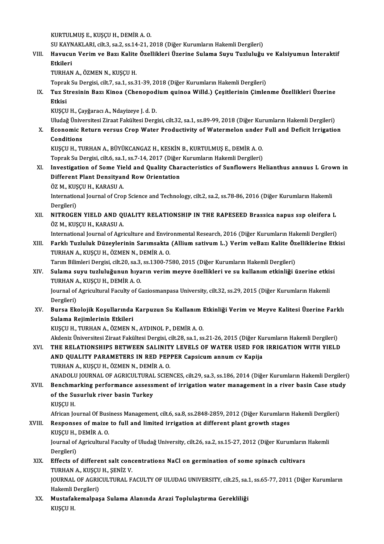KURTULMUŞE.,KUŞÇUH.,DEMİRA.O.

KURTULMUŞ E., KUŞÇU H., DEMİR A. O.<br>SU KAYNAKLARI, cilt.3, sa.2, ss.14-21, 2018 (Diğer Kurumların Hakemli Dergileri)<br>Hayyayın Varim ve Bazı Kalite Özellikleri Üzerine Sulama Suyu Tuzluluğu

KURTULMUŞ E., KUŞÇU H., DEMİR A. O.<br>SU KAYNAKLARI, cilt.3, sa.2, ss.14-21, 2018 (Diğer Kurumların Hakemli Dergileri)<br>VIII. Havucun Verim ve Bazı Kalite Özellikleri Üzerine Sulama Suyu Tuzluluğu ve Kalsiyumun İnteraktif SU KAYN<br><mark>Havucu</mark><br>Etkileri<br>TUPHAN Havucun Verim ve Bazı Kalite<br>Etkileri<br>TURHAN A., ÖZMEN N., KUŞÇU H.<br>Tenrak Su Dergisi silt 7, sa 1, sa 2 <mark>Etkileri</mark><br>TURHAN A., ÖZMEN N., KUŞÇU H.<br>Toprak Su Dergisi, cilt.7, sa.1, ss.31-39, 2018 (Diğer Kurumların Hakemli Dergileri)

TURHAN A., ÖZMEN N., KUŞÇU H.<br>Toprak Su Dergisi, cilt.7, sa.1, ss.31-39, 2018 (Diğer Kurumların Hakemli Dergileri)<br>IX. Tuz Stresinin Bazı Kinoa (Chenopodium quinoa Willd.) Çeşitlerinin Çimlenme Özellikleri Üzerine<br>Etki Topral<br><mark>Tuz S</mark>t<br>Etkisi<br><sup>Kuscu</sup> Tuz Stresinin Bazı Kinoa (Chenopod<br>Etkisi<br>KUŞÇU H., Çayğaracı A., Ndayizeye J. d. D.<br>Uludağ Üniversitesi Zirast Fakültesi Derg <mark>Etkisi</mark><br>KUŞÇU H., Çayğaracı A., Ndayizeye J. d. D.<br>Uludağ Üniversitesi Ziraat Fakültesi Dergisi, cilt.32, sa.1, ss.89-99, 2018 (Diğer Kurumların Hakemli Dergileri)<br>Feanamia Baturn varsus Cran Watar Pradustivity of Watarma

KUŞÇU H., Çayğaracı A., Ndayizeye J. d. D.<br>Uludağ Üniversitesi Ziraat Fakültesi Dergisi, cilt.32, sa.1, ss.89-99, 2018 (Diğer Kurumların Hakemli Dergileri)<br>X. Economic Return versus Crop Water Productivity of Watermelo

# Uludağ Ünive<br>Economic F<br>Conditions<br>EUSCU H TI

Economic Return versus Crop Water Productivity of Watermelon under<br>Conditions<br>KUŞÇU H., TURHAN A., BÜYÜKCANGAZ H., KESKİN B., KURTULMUŞ E., DEMİR A. O.<br>Tenrak Su Dergişi silt 6, 99, 1, 99, 7, 14, 2017 (Diğer Kurumların Hak Conditions<br>KUŞÇU H., TURHAN A., BÜYÜKCANGAZ H., KESKİN B., KURTULMUŞ E., DEMİR A. O.<br>Toprak Su Dergisi, cilt.6, sa.1, ss.7-14, 2017 (Diğer Kurumların Hakemli Dergileri)<br>Investisation of Some Viald and Quality Charasteristi

KUŞÇU H., TURHAN A., BÜYÜKCANGAZ H., KESKİN B., KURTULMUŞ E., DEMİR A. O.<br>Toprak Su Dergisi, cilt.6, sa.1, ss.7-14, 2017 (Diğer Kurumların Hakemli Dergileri)<br>XI. Investigation of Some Yield and Quality Characteristics of S Toprak Su Dergisi, cilt.6, sa.1, ss.7-14, 2017 (Diğer<br>Investigation of Some Yield and Quality Char<br>Different Plant Densityand Row Orientation<br>ÖZ M. KUSCU H. KARASU A Investigation of Some Yie<br>Different Plant Densityan<br>ÖZ M., KUŞÇU H., KARASU A.<br>International Journal of Crou ÖZ M., KUŞÇU H., KARASU A.

Different Plant Densityand Row Orientation<br>ÖZ M., KUŞÇU H., KARASU A.<br>International Journal of Crop Science and Technology, cilt.2, sa.2, ss.78-86, 2016 (Diğer Kurumların Hakemli<br>Dergileri) International Journal of Crop Science and Technology, cilt.2, sa.2, ss.78-86, 2016 (Diğer Kurumların Hakemli<br>Dergileri)<br>XII. NITROGEN YIELD AND QUALITY RELATIONSHIP IN THE RAPESEED Brassica napus ssp oleifera L

Dergileri)<br><mark>NITROGEN YIELD AND QI</mark><br>ÖZ M., KUŞÇU H., KARASU A.<br>International Journal of Agri NITROGEN YIELD AND QUALITY RELATIONSHIP IN THE RAPESEED Brassica napus ssp oleifera L<br>ÖZ M., KUŞÇU H., KARASU A.<br>International Journal of Agriculture and Environmental Research, 2016 (Diğer Kurumların Hakemli Dergileri)<br>Fa

### ÖZ M., KUŞÇU H., KARASU A.<br>International Journal of Agriculture and Environmental Research, 2016 (Diğer Kurumların Hakemli Dergileri)<br>XIII. Farklı Tuzluluk Düzeylerinin Sarımsakta (Allium sativum L.) Verim veBazı Kalit International Journal of Agriculture and Envire<br>Farklı Tuzluluk Düzeylerinin Sarımsakta<br>TURHAN A., KUŞÇU H., ÖZMEN N., DEMİR A. O.<br>Tarım Pilimleri Dergisi, silt 20, sə 3, ss 1300, 75 Farklı Tuzluluk Düzeylerinin Sarımsakta (Allium sativum L.) Verim veBazı Kalite Öz<br>TURHAN A., KUŞÇU H., ÖZMEN N., DEMİR A. O.<br>Tarım Bilimleri Dergisi, cilt.20, sa.3, ss.1300-7580, 2015 (Diğer Kurumların Hakemli Dergileri)<br>

### TURHAN A., KUŞÇU H., ÖZMEN N., DEMİR A. O.<br>Tarım Bilimleri Dergisi, cilt.20, sa.3, ss.1300-7580, 2015 (Diğer Kurumların Hakemli Dergileri)<br>XIV. Sulama suyu tuzluluğunun hıyarın verim meyve özellikleri ve su kullanım et Tarım Bilimleri Dergisi, cilt.20, sa.3, ss.1300-7580, 2015 (Diğer Kurumların Hakemli Dergileri)<br>Sulama suyu tuzluluğunun hıyarın verim meyve özellikleri ve su kullanım etkinliği üzerine etkis<br>TURHAN A., KUŞÇU H., DEMİR A. Sulama suyu tuzluluğunun hıyarın verim meyve özellikleri ve su kullanım etkinliği üzerine etki:<br>TURHAN A., KUŞÇU H., DEMİR A. O.<br>Journal of Agricultural Faculty of Gaziosmanpasa University, cilt.32, ss.29, 2015 (Diğer Kuru

TURHAN A., KUŞÇU H., DEMİR A. O.<br>Journal of Agricultural Faculty of G.<br>Dergileri) Journal of Agricultural Faculty of Gaziosmanpasa University, cilt.32, ss.29, 2015 (Diğer Kurumların Hakemli<br>Dergileri)<br>XV. Bursa Ekolojik Koşullarında Karpuzun Su Kullanım Etkinliği Verim ve Meyve Kalitesi Üzerine Fark

### Dergileri)<br>Bursa Ekolojik Koşullarında<br>Sulama Rejimlerinin Etkileri<br>KUSCU H. TURHAN A. ÖZMEN N Sulama Rejimlerinin Etkileri<br>KUŞÇU H., TURHAN A., ÖZMEN N., AYDINOL P., DEMİR A. O.

Sulama Rejimlerinin Etkileri<br>KUŞÇU H., TURHAN A., ÖZMEN N., AYDINOL P., DEMİR A. O.<br>Akdeniz Üniversitesi Ziraat Fakültesi Dergisi, cilt.28, sa.1, ss.21-26, 2015 (Diğer Kurumların Hakemli Dergileri)<br>THE REL ATIONSHIRS RETWE KUŞÇU H., TURHAN A., ÖZMEN N., AYDINOL P., DEMİR A. O.<br>Akdeniz Üniversitesi Ziraat Fakültesi Dergisi, cilt.28, sa.1, ss.21-26, 2015 (Diğer Kurumların Hakemli Dergileri)<br>XVI. THE RELATIONSHIPS BETWEEN SALINITY LEVELS OF Akdeniz Üniversitesi Ziraat Fakültesi Dergisi, cilt.28, sa.1, ss.21-26, 2015 (Diğer Ku<br>THE RELATIONSHIPS BETWEEN SALINITY LEVELS OF WATER USED FOR<br>AND QUALITY PARAMETERS IN RED PEPPER Capsicum annum cv Kapija<br>TUPHAN A. KUS THE RELATIONSHIPS BETWEEN SALINITY LEVELS OF WATER USED FOR IRRIGATION WITH YIELD<br>AND QUALITY PARAMETERS IN RED PEPPER Capsicum annum cv Kapija<br>TURHAN A., KUŞÇU H., ÖZMEN N., DEMİR A. O.

ANADOLU JOURNAL OF AGRICULTURAL SCIENCES, cilt.29, sa.3, ss.186, 2014 (Diğer Kurumların Hakemli Dergileri)

### TURHAN A., KUŞÇU H., ÖZMEN N., DEMİR A. O.<br>ANADOLU JOURNAL OF AGRICULTURAL SCIENCES, cilt.29, sa.3, ss.186, 2014 (Diğer Kurumların Hakemli Dergileri<br>XVII. Benchmarking performance assessment of irrigation water management ANADOLU JOURNAL OF AGRICULTURAL<br>Benchmarking performance assess:<br>of the Susurluk river basin Turkey<br>PUSCU H Benchma<br>of the Su<br>KUŞÇU H.<br>African Jo of the Susurluk river basin Turkey<br>KUŞÇU H.<br>African Journal Of Business Management, cilt.6, sa.8, ss.2848-2859, 2012 (Diğer Kurumların Hakemli Dergileri)

### KUŞÇU H.<br>African Journal Of Business Management, cilt.6, sa.8, ss.2848-2859, 2012 (Diğer Kurumların<br>XVIII. Responses of maize to full and limited irrigation at different plant growth stages<br>KUSCU H. DEMİR A. Q African Journal Of Busi<br>Responses of maize<br>KUŞÇU H., DEMİR A. O.<br>Journal of Agricultural Responses of maize to full and limited irrigation at different plant growth stages<br>KUŞÇU H., DEMİR A. O.<br>Journal of Agricultural Faculty of Uludağ University, cilt.26, sa.2, ss.15-27, 2012 (Diğer Kurumların Hakemli<br>Dersile

KUŞÇU H., DEMİR A. O.<br>Journal of Agricultural Faculty of Uludağ University, cilt.26, sa.2, ss.15-27, 2012 (Diğer Kurumların Hakemli<br>Dergileri)

### XIX. Effects of different salt concentrations NaCl on germination of some spinach cultivars Dergileri)<br><mark>Effects of different salt conc</mark><br>TURHAN A., KUŞÇU H., ŞENİZ V.<br>JOUPNAL OF ACRICULTURAL E

JOURNAL OF AGRICULTURAL FACULTY OF ULUDAG UNIVERSITY, cilt.25, sa.1, ss.65-77, 2011 (Diğer Kurumların Hakemli Dergileri) TURHAN A., KUŞÇU<br>JOURNAL OF AGRIC<br>Hakemli Dergileri)<br>Mustafakamalnas JOURNAL OF AGRICULTURAL FACULTY OF ULUDAG UNIVERSITY, cilt.25, sa.<br>Hakemli Dergileri)<br>XX. Mustafakemalpaşa Sulama Alanında Arazi Toplulaştırma Gerekliliği<br>KUSCU H

Hakemli I<br><mark>Mustafal</mark><br>KUŞÇU H.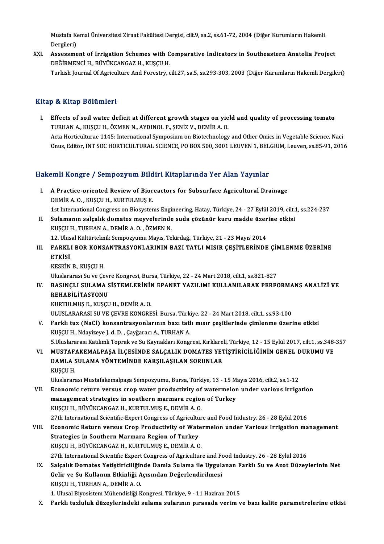Mustafa Kemal Üniversitesi Ziraat Fakültesi Dergisi, cilt.9, sa.2, ss.61-72, 2004 (Diğer Kurumların Hakemli<br>Persileri) Mustafa Ko<br>Dergileri)<br>Assosama Mustafa Kemal Üniversitesi Ziraat Fakültesi Dergisi, cilt.9, sa.2, ss.61-72, 2004 (Diğer Kurumların Hakemli<br>Dergileri)<br>XXI. Assessment of Irrigation Schemes with Comparative Indicators in Southeastern Anatolia Project<br>DEČI

Dergileri)<br>Assessment of Irrigation Schemes with C<br>DEĞİRMENCİ H., BÜYÜKCANGAZ H., KUŞÇU H.<br>Turkish Journal Of Agrigulture And Forsetyu DEĞİRMENCİ H., BÜYÜKCANGAZ H., KUŞÇU H.<br>Turkish Journal Of Agriculture And Forestry, cilt.27, sa.5, ss.293-303, 2003 (Diğer Kurumların Hakemli Dergileri)

#### Kitap & Kitap Bölümleri

Itap & Kitap Bölümleri<br>I. Effects of soil water deficit at different growth stages on yield and quality of processing tomato P & IIIUP DOIUMIOIT<br>Effects of soil water deficit at different growth stages on yie<br>TURHAN A., KUŞÇU H., ÖZMEN N., AYDINOL P., ŞENİZ V., DEMİR A. O.<br>Asta Hartisulturae 1145. International Sumnesium on Bisteshnalasu TURHAN A., KUŞÇU H., ÖZMEN N., AYDINOL P., ŞENİZ V., DEMİR A. O.<br>Acta Horticulturae 1145: International Symposium on Biotechnology and Other Omics in Vegetable Science, Naci Onus, Editör, INT SOC HORTICULTURAL SCIENCE, PO BOX 500, 3001 LEUVEN 1, BELGIUM, Leuven, ss.85-91, 2016

# onus, Editor, INT SOC HORTICOLTORAL SCIENCE, PO BOX 500, 3001 LEOVEN 1, BEL<br>Hakemli Kongre / Sempozyum Bildiri Kitaplarında Yer Alan Yayınlar

- akemli Kongre / Sempozyum Bildiri Kitaplarında Yer Alan Yayınlar<br>I. A Practice-oriented Review of Bioreactors for Subsurface Agricultural Drainage I. A Practice-oriented Review of Bioreactors for Subsurface Agricultural Drainage<br>DEMIR A.O., KUŞÇU H., KURTULMUŞ E. 19 A Practice-oriented Review of Bioreactors for Subsurface Agricultural Drainage<br>DEMİR A. O. , KUŞÇU H., KURTULMUŞ E.<br>1st International Congress on Biosystems Engineering, Hatay, Türkiye, 24 - 27 Eylül 2019, cilt.1, ss.22 DEMİR A. O. , KUŞÇU H., KURTULMUŞ E.<br>1st International Congress on Biosystems Engineering, Hatay, Türkiye, 24 - 27 Eylül 2019, cilt.<br>1. Sulamanın salçalık domates meyvelerinde suda çözünür kuru madde üzerine etkisi<br>1. KUSC
- 1st International Congress on Biosystems Engi<br>Sulamanın salçalık domates meyvelerinde<br>KUŞÇU H., TURHAN A., DEMİR A. O. , ÖZMEN N.<br>12. Ulucal Kültürtelmik Semnerrumu Mayıs. Te Sulamanın salçalık domates meyvelerinde suda çözünür kuru madde üzer<br>KUŞÇU H., TURHAN A., DEMİR A. O. , ÖZMEN N.<br>12. Ulusal Kültürteknik Sempozyumu Mayıs, Tekirdağ., Türkiye, 21 - 23 Mayıs 2014<br>EARKLI ROR KONSANTRASYONI AR
- KUŞÇU H., TURHAN A., DEMİR A. O. , ÖZMEN N.<br>12. Ulusal Kültürteknik Sempozyumu Mayıs, Tekirdağ., Türkiye, 21 23 Mayıs 2014<br>III. FARKLI BOR KONSANTRASYONLARININ BAZI TATLI MISIR ÇEŞİTLERİNDE ÇİMLENME ÜZERİNE<br>FTKİSİ 12. Ulus<br>FARKL<br>ETKİSİ<br><sup>VESVİN</sup> FARKLI BOR KONS<br>ETKİSİ<br>KESKİN B., KUŞÇU H.<br>Huslananası Su ve Co
	-

ETKİSİ<br>KESKİN B., KUŞÇU H.<br>Uluslararası Su ve Çevre Kongresi, Bursa, Türkiye, 22 - 24 Mart 2018, cilt.1, ss.821-827<br>RASINCLI SULAMA SİSTEMI ERİNİN ERANET YAZILIMI KULLANILARAK REREG

KESKİN B., KUŞÇU H.<br>Uluslararası Su ve Çevre Kongresi, Bursa, Türkiye, 22 - 24 Mart 2018, cilt.1, ss.821-827<br>IV. BASINÇLI SULAMA SİSTEMLERİNİN EPANET YAZILIMI KULLANILARAK PERFORMANS ANALİZİ VE<br>REHARİLİTASYONU Uluslararası Su ve Çev<mark><br>BASINÇLI SULAMA S</mark><br>REHABİLİTASYONU<br>KURTU MUS E KUSCI BASINÇLI SULAMA SİSTEMLERİNİI<br>REHABİLİTASYONU<br>KURTULMUŞ E., KUŞÇU H., DEMİR A. O.<br>ULUSLARARASI SU VE GEVDE KONGRE REHABİLİTASYONU<br>KURTULMUŞ E., KUŞÇU H., DEMİR A. O.<br>ULUSLARARASI SU VE ÇEVRE KONGRESİ, Bursa, Türkiye, 22 - 24 Mart 2018, cilt.1, ss.93-100<br>Farklı tur (NaCl), kansantrasyonlarının bası tatlı mısır sositlerinde simlenme üze

- KURTULMUŞ E., KUŞÇU H., DEMİR A. O.<br>ULUSLARARASI SU VE ÇEVRE KONGRESİ, Bursa, Türkiye, 22 24 Mart 2018, cilt.1, ss.93-100<br>V. Farklı tuz (NaCl) konsantrasyonlarının bazı tatlı mısır çeşitlerinde çimlenme üzerine etkis ULUSLARARASI SU VE ÇEVRE KONGRESİ, Bursa, Türk<br>Farklı tuz (NaCl) konsantrasyonlarının bazı tatl<br>KUŞÇU H., Ndayizeye J. d. D. , Çayğaracı A., TURHAN A.<br>E Uluslararası Katlımlı Tanrak ve Su Kaymakları Koncu Farklı tuz (NaCl) konsantrasyonlarının bazı tatlı mısır çeşitlerinde çimlenme üzerine etkisi<br>KUŞÇU H., Ndayizeye J. d. D. , Çayğaracı A., TURHAN A.<br>5.Uluslararası Katılımlı Toprak ve Su Kaynakları Kongresi, Kırklareli, Tür KUŞÇU H., Ndayizeye J. d. D. , Çayğaracı A., TURHAN A.<br>5.Uluslararası Katılımlı Toprak ve Su Kaynakları Kongresi, Kırklareli, Türkiye, 12 - 15 Eylül 2017, cilt.1, ss.348-<br>1. MUSTAFAKEMALPAŞA İLÇESİNDE SALÇALIK DOMATES YETİ
- 5.Uluslararası Katılımlı Toprak ve Su Kaynakları Kongresi, Kırklarel<br>MUSTAFAKEMALPAŞA İLÇESİNDE SALÇALIK DOMATES YET<br>DAMLA SULAMA YÖNTEMİNDE KARŞILAŞILAN SORUNLAR<br>KUSCU H VI. MUSTAFAKEMALPAŞA İLÇESİNDE SALÇALIK DOMATES YETİŞTİRİCİLIĞININ GENEL DURUMU VE DAMLA SULAMA YÖNTEMINDE KARŞILAŞILAN SORUNLAR<br>KUSCU H.

UluslararasıMustafakemalpaşa Sempozyumu,Bursa,Türkiye,13 -15Mayıs2016, cilt.2, ss.1-12

VII. Economic return versus crop water productivity of watermelon under various irrigation Uluslararası Mustafakemalpaşa Sempozyumu, Bursa, Türkiye, 13 - 15 M<br>Economic return versus crop water productivity of watermelor<br>management strategies in southern marmara region of Turkey<br>VISCU H. PÜVÜKCANCAZ H. KUPTULMUS Economic return versus crop water productivity of<br>management strategies in southern marmara region<br>KUŞÇU H., BÜYÜKCANGAZ H., KURTULMUŞ E., DEMİR A. O.<br>27th International Scientific Expect Congress of Agricultur 27th InternationalScientific-ExpertCongress ofAgriculture and Food Industry,26 -28Eylül2016

KUŞÇU H., BÜYÜKCANGAZ H., KURTULMUŞ E., DEMİR A. O.<br>27th International Scientific-Expert Congress of Agriculture and Food Industry, 26 - 28 Eylül 2016<br>VIII. Economic Return versus Crop Productivity of Watermelon under 27th International Scientific-Expert Congress of Agricultu<br>Economic Return versus Crop Productivity of Wate<br>Strategies in Southern Marmara Region of Turkey<br>PUSCU H. PÚVŮVCANCAZ H. PURTULMUS E. DEMÍR A. O Economic Return versus Crop Productivity of Wate<br>Strategies in Southern Marmara Region of Turkey<br>KUŞÇU H., BÜYÜKCANGAZ H., KURTULMUŞ E., DEMİR A. O.<br>27th International Scientific Expect Congress of Agricultur Strategies in Southern Marmara Region of Turkey<br>KUŞÇU H., BÜYÜKCANGAZ H., KURTULMUŞ E., DEMİR A. O.<br>27th International Scientific Expert Congress of Agriculture and Food Industry, 26 - 28 Eylül 2016<br>Salsalık Demates Vetist

KUŞÇU H., BÜYÜKCANGAZ H., KURTULMUŞ E., DEMİR A. O.<br>27th International Scientific Expert Congress of Agriculture and Food Industry, 26 - 28 Eylül 2016<br>IX. Salçalık Domates Yetiştiriciliğinde Damla Sulama ile Uygulanan Fark 27th International Scientific Expert Congress of Agriculture and Fortual Salçalık Domates Yetiştiriciliğinde Damla Sulama ile Uygula<br>Gelir ve Su Kullanım Etkinliği Açısından Değerlendirilmesi<br>KUSCU H. TURHAN A. DEMİR A. O Salçalık Domates Yetiştiriciliğin<br>Gelir ve Su Kullanım Etkinliği A<br>KUŞÇU H., TURHAN A., DEMİR A. O.<br>1. Ulusel Biyesistem Mühandisliği v 6elir ve Su Kullanım Etkinliği Açısından Değerlendirilmesi<br>KUŞÇU H., TURHAN A., DEMİR A. O.<br>1. Ulusal Biyosistem Mühendisliği Kongresi, Türkiye, 9 - 11 Haziran 2015

X. Farklı tuzluluk düzeylerindeki sulama sularının pırasada verim ve bazı kalite parametrelerine etkisi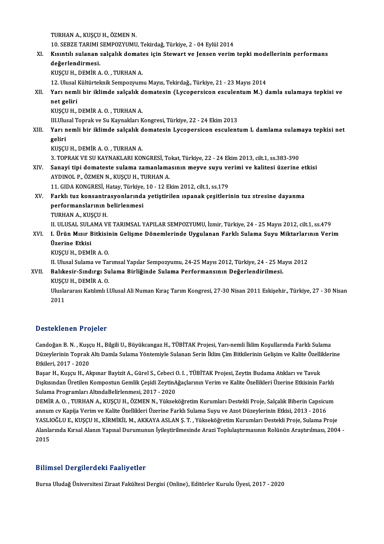TURHAN A., KUŞÇU H., ÖZMEN N. TURHAN A., KUŞÇU H., ÖZMEN N.<br>10. SEBZE TARIMI SEMPOZYUMU, Tekirdağ, Türkiye, 2 - 04 Eylül 2014<br>Kısıntılı sulanan salsalık damatas isin Stevrart ve Jansan yanim XI. Kısıntılı sulanan salçalık domates için Stewart ve Jensen verim tepki modellerinin performans<br>değerlendirmesi. 10. SEBZE TARIMI :<br>Kısıntılı sulanan :<br>değerlendirmesi.<br>EUSCU H. DEMİP A KUŞÇU H., DEMİR A. O., TURHAN A. 12.UlusalKültürteknikSempozyumuMayıs,Tekirdağ.,Türkiye,21 -23Mayıs2014 KUŞÇU H., DEMİR A. O. , TURHAN A.<br>12. Ulusal Kültürteknik Sempozyumu Mayıs, Tekirdağ., Türkiye, 21 - 23 Mayıs 2014<br>XII. Yarı nemli bir iklimde salçalık domatesin (Lycopersicon esculentum M.) damla sulamaya tepkisi ve<br>n 12. Ulusal<br>Yarı neml<br>net geliri<br>EUSCU H Yarı nemli bir iklimde salçalık d<br>net geliri<br>KUŞÇU H., DEMİR A. O. , TURHAN A.<br>Williveel Tenrek ve Su Kaynakları K net geliri<br>KUŞÇU H., DEMİR A. O. , TURHAN A.<br>III.Ulusal Toprak ve Su Kaynakları Kongresi, Türkiye, 22 - 24 Ekim 2013 KUŞÇU H., DEMİR A. O. , TURHAN A.<br>III.Ulusal Toprak ve Su Kaynakları Kongresi, Türkiye, 22 - 24 Ekim 2013<br>XIII. Yarı nemli bir iklimde salçalık domatesin Lycopersicon esculentum L damlama sulamaya tepkisi net<br>qaliri III.Ulu:<br>Yarı n<br>geliri<br>vuscu Yarı nemli bir iklimde salçalık d<br>geliri<br>KUŞÇU H., DEMİR A. O. , TURHAN A.<br>2. TOPPAK VE SU KAYNAKLAPI KOJ geliri<br>KUŞÇU H., DEMİR A. O. , TURHAN A.<br>3. TOPRAK VE SU KAYNAKLARI KONGRESİ, Tokat, Türkiye, 22 - 24 Ekim 2013, cilt.1, ss.383-390<br>Sanayi tini damatasta sulama gamanlamasının mayye suyu yanimi ve kalitasi ügarine XUŞÇU H., DEMİR A. O. , TURHAN A.<br>3. TOPRAK VE SU KAYNAKLARI KONGRESİ, Tokat, Türkiye, 22 - 24 Ekim 2013, cilt.1, ss.383-390<br>3. Sanayi tipi domateste sulama zamanlamasının meyve suyu verimi ve kalitesi üzerine etkisi<br>4. AY 3. TOPRAK VE SU KAYNAKLARI KONGRESİ, To<br>Sanayi tipi domateste sulama zamanlama<br>AYDINOL P., ÖZMEN N., KUŞÇU H., TURHAN A.<br>11. CIDA KONGRESİ, Hatay, Türkiye 10, 12. El Sanayi tipi domateste sulama zamanlamasının meyve suyu ve<br>AYDINOL P., ÖZMEN N., KUŞÇU H., TURHAN A.<br>11. GIDA KONGRESİ, Hatay, Türkiye, 10 - 12 Ekim 2012, cilt.1, ss.179<br>Farklı tur kansantrasyonlarında yetistirilen ıspanak AYDINOL P., ÖZMEN N., KUŞÇU H., TURHAN A.<br>11. GIDA KONGRESİ, Hatay, Türkiye, 10 - 12 Ekim 2012, cilt.1, ss.179<br>XV. Farklı tuz konsantrasyonlarında yetiştirilen ıspanak çeşitlerinin tuz stresine dayanma<br>nerfermanelerini 11. GIDA KONGRESİ, Hatay, Türkiye,<br>Farklı tuz konsantrasyonlarında<br>performanslarının belirlenmesi<br>TUPHAN A. KUSCU H Farklı tuz konsantra<br>performanslarının l<br>TURHAN A., KUŞÇU H.<br>H. HLUSAL SHLAMA V. performanslarının belirlenmesi<br>TURHAN A., KUŞÇU H.<br>II. ULUSAL SULAMA VE TARIMSAL YAPILAR SEMPOZYUMU, İzmir, Türkiye, 24 - 25 Mayıs 2012, cilt.1, ss.479<br>L. Ürün Mısır Bitkisinin Colisme Dönemlerinde Hygulanan Farklı Sulama TURHAN A., KUŞÇU H.<br>II. ULUSAL SULAMA VE TARIMSAL YAPILAR SEMPOZYUMU, İzmir, Türkiye, 24 - 25 Mayıs 2012, cilt.1, ss.479<br>XVI. I. Ürün Mısır Bitkisinin Gelişme Dönemlerinde Uygulanan Farklı Sulama Suyu Miktarlarının Ver II. ULUSAL SUL*i*<br>I. <mark>Ürün Mısır E</mark><br>Üzerine Etkisi<br>KUSCU H. DEMİ I. Ürün Mısır Bitkisiı<br>Üzerine Etkisi<br>KUŞÇU H., DEMİR A. O.<br>U Ulucel Sulama ve Ta Üzerine Etkisi<br>KUŞÇU H., DEMİR A. O.<br>II. Ulusal Sulama ve Tarımsal Yapılar Sempozyumu, 24-25 Mayıs 2012, Türkiye, 24 - 25 Mayıs 2012 KUŞÇU H., DEMİR A. O.<br>II. Ulusal Sulama ve Tarımsal Yapılar Sempozyumu, 24-25 Mayıs 2012, Türkiye, 24 - 25 Ma<br>XVII. Balıkesir-Sındırgı Sulama Birliğinde Sulama Performansının Değerlendirilmesi.<br>YUSCU H. DEMİR A. Q II. Ulusal Sulama ve Tai<br><mark>Balıkesir-Sındırgı Su</mark><br>KUŞÇU H., DEMİR A. O.<br>Uluslararası Katılımlı L Uluslararası Katılımlı I.Ulusal Ali Numan Kıraç Tarım Kongresi, 27-30 Nisan 2011 Eskişehir., Türkiye, 27 - 30 Nisan<br>2011 KUSCU H., DEMİR A. O.

#### Desteklenen Projeler

Candoğan B.N., Kuşçu H., Bilgili U., Büyükcangaz H., TÜBİTAK Projesi, Yarı-nemli İklim Koşullarında Farklı Sulama Düzeztindirdirin Trufuzer<br>Candoğan B. N. , Kuşçu H., Bilgili U., Büyükcangaz H., TÜBİTAK Projesi, Yarı-nemli İklim Koşullarında Farklı Sulama<br>Düzeylerinin Toprak Altı Damla Sulama Yöntemiyle Sulanan Serin İklim Çim Bitkile Candoğan B. N. , Kuşç<br>Düzeylerinin Toprak<br>Etkileri, 2017 - 2020<br>Pasar H. Kuşçu H. Al Düzeylerinin Toprak Altı Damla Sulama Yöntemiyle Sulanan Serin İklim Çim Bitkilerinin Gelişim ve Kalite Özelli<br>Etkileri, 2017 - 2020<br>Başar H., Kuşçu H., Akpınar Bayizit A., Gürel S., Cebeci O. I. , TÜBİTAK Projesi, Zeytin

Etkileri, 2017 - 2020<br>Başar H., Kuşçu H., Akpınar Bayizit A., Gürel S., Cebeci O. I. , TÜBİTAK Projesi, Zeytin Budama Atıkları ve Tavuk<br>Dışkısından Üretilen Kompostun Gemlik Çeşidi ZeytinAğaçlarının Verim ve Kalite Özellik Sulama Programları AltındaBelirlenmesi, 2017 - 2020 Dışkısından Üretilen Kompostun Gemlik Çeşidi ZeytinAğaçlarının Verim ve Kalite Özellikleri Üzerine Etkisinin Farklı<br>Sulama Programları AltındaBelirlenmesi, 2017 - 2020<br>DEMİR A. O. , TURHAN A., KUŞÇU H., ÖZMEN N., Yükseköğr

Sulama Programları AltındaBelirlenmesi, 2017 - 2020<br>DEMİR A. O. , TURHAN A., KUŞÇU H., ÖZMEN N., Yükseköğretim Kurumları Destekli Proje, Salçalık Biberin Capsicu<br>annum cv Kapija Verim ve Kalite Özellikleri Üzerine Farklı S DEMİR A. O. , TURHAN A., KUŞÇU H., ÖZMEN N., Yükseköğretim Kurumları Destekli Proje, Salçalık Biberin Capsicum<br>annum cv Kapija Verim ve Kalite Özellikleri Üzerine Farklı Sulama Suyu ve Azot Düzeylerinin Etkisi, 2013 - 2016 annum cv Kapija Verim ve Kalite Özellikleri Üzerine Farklı Sulama Suyu ve Azot Düzeylerinin Etkisi, 2013 - 2016<br>YASLIOĞLU E., KUŞÇU H., KİRMİKİL M., AKKAYA ASLAN Ş. T. , Yükseköğretim Kurumları Destekli Proje, Sulama Proje YASLI<br>Alanla<br>2015

# 2015<br>Bilimsel Dergilerdeki Faaliyetler

Bursa Uludağ Üniversitesi Ziraat Fakültesi Dergisi (Online), Editörler Kurulu Üyesi, 2017 - 2020